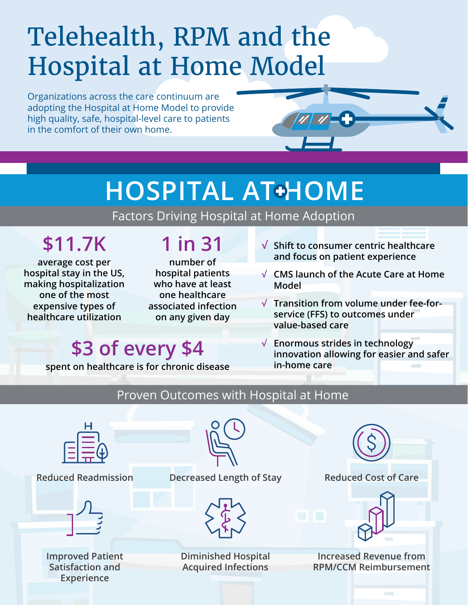# Telehealth, RPM and the Hospital at Home Model

Organizations across the care continuum are adopting the Hospital at Home Model to provide high quality, safe, hospital-level care to patients in the comfort of their own home.



## **HOSPITAL AT+HOME**

Factors Driving Hospital at Home Adoption

## **\$11.7K**

**average cost per hospital stay in the US, making hospitalization one of the most expensive types of healthcare utilization**

### **1 in 31**

**number of hospital patients who have at least one healthcare associated infection on any given day**

- **√ Shift to consumer centric healthcare and focus on patient experience**
- **√ CMS launch of the Acute Care at Home Model**
- **√ Transition from volume under fee-forservice (FFS) to outcomes under value-based care**
- **√ Enormous strides in technology innovation allowing for easier and safer in-home care**

## **\$3 of every \$4**

**spent on healthcare is for chronic disease**

#### Proven Outcomes with Hospital at Home





**Improved Patient Satisfaction and Experience**



**Reduced Readmission Decreased Length of Stay Reduced Cost of Care**



**Diminished Hospital Acquired Infections**





**Increased Revenue from RPM/CCM Reimbursement**